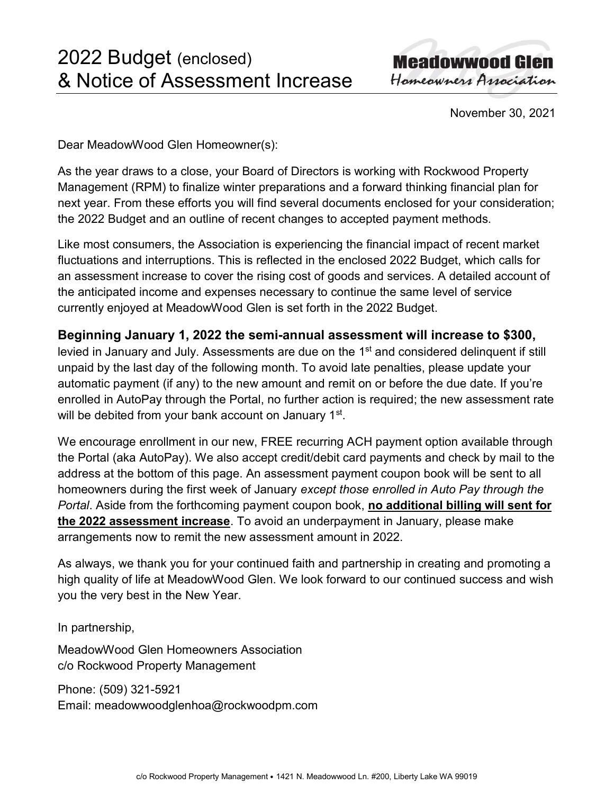**Meadowwood Glen** Homeowners Association

November 30, 2021

Dear MeadowWood Glen Homeowner(s):

As the year draws to a close, your Board of Directors is working with Rockwood Property Management (RPM) to finalize winter preparations and a forward thinking financial plan for next year. From these efforts you will find several documents enclosed for your consideration; the 2022 Budget and an outline of recent changes to accepted payment methods.

Like most consumers, the Association is experiencing the financial impact of recent market fluctuations and interruptions. This is reflected in the enclosed 2022 Budget, which calls for an assessment increase to cover the rising cost of goods and services. A detailed account of the anticipated income and expenses necessary to continue the same level of service currently enjoyed at MeadowWood Glen is set forth in the 2022 Budget.

## Beginning January 1, 2022 the semi-annual assessment will increase to \$300,

levied in January and July. Assessments are due on the 1<sup>st</sup> and considered delinquent if still unpaid by the last day of the following month. To avoid late penalties, please update your automatic payment (if any) to the new amount and remit on or before the due date. If you're enrolled in AutoPay through the Portal, no further action is required; the new assessment rate will be debited from your bank account on January 1st.

We encourage enrollment in our new, FREE recurring ACH payment option available through the Portal (aka AutoPay). We also accept credit/debit card payments and check by mail to the address at the bottom of this page. An assessment payment coupon book will be sent to all homeowners during the first week of January except those enrolled in Auto Pay through the Portal. Aside from the forthcoming payment coupon book, no additional billing will sent for the 2022 assessment increase. To avoid an underpayment in January, please make arrangements now to remit the new assessment amount in 2022.

As always, we thank you for your continued faith and partnership in creating and promoting a high quality of life at MeadowWood Glen. We look forward to our continued success and wish you the very best in the New Year.

In partnership,

MeadowWood Glen Homeowners Association c/o Rockwood Property Management

Phone: (509) 321-5921 Email: meadowwoodglenhoa@rockwoodpm.com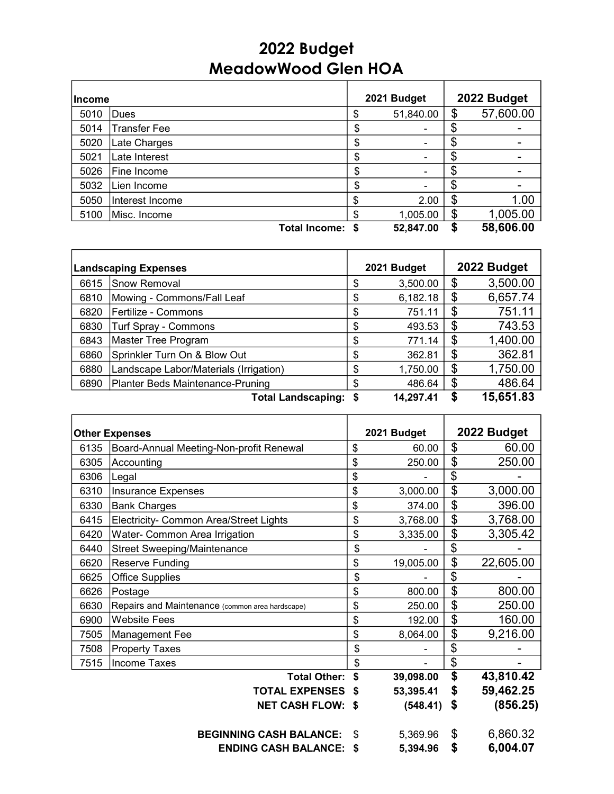## 2022 Budget MeadowWood Glen HOA

| <b>Income</b> |                     |                           | 2021 Budget |        | 2022 Budget |
|---------------|---------------------|---------------------------|-------------|--------|-------------|
| 5010          | Dues                | \$                        | 51,840.00   | \$     | 57,600.00   |
| 5014          | <b>Transfer Fee</b> | \$                        |             | \$     |             |
| 5020          | Late Charges        | \$                        |             | \$     |             |
| 5021          | Late Interest       | \$                        |             | \$     |             |
| 5026          | Fine Income         | \$                        | -           | \$     |             |
| 5032          | Lien Income         | \$                        |             | ጥ<br>Œ |             |
| 5050          | Interest Income     | \$                        | 2.00        | \$     | 1.00        |
| 5100          | Misc. Income        | \$                        | 1,005.00    | \$     | 1,005.00    |
|               |                     | <b>Total Income:</b><br>S | 52,847.00   | S      | 58,606.00   |

| <b>Landscaping Expenses</b> |                                        |    | 2021 Budget |    | 2022 Budget |
|-----------------------------|----------------------------------------|----|-------------|----|-------------|
| 6615                        | Snow Removal                           | \$ | 3,500.00    | \$ | 3,500.00    |
| 6810                        | Mowing - Commons/Fall Leaf             | \$ | 6,182.18    | \$ | 6,657.74    |
| 6820                        | Fertilize - Commons                    | \$ | 751.11      | \$ | 751.11      |
| 6830                        | Turf Spray - Commons                   | \$ | 493.53      | \$ | 743.53      |
| 6843                        | Master Tree Program                    | \$ | 771.14      | \$ | 1,400.00    |
| 6860                        | Sprinkler Turn On & Blow Out           | \$ | 362.81      | \$ | 362.81      |
| 6880                        | Landscape Labor/Materials (Irrigation) | \$ | 1,750.00    | \$ | 1,750.00    |
| 6890                        | Planter Beds Maintenance-Pruning       | \$ | 486.64      | \$ | 486.64      |
|                             | <b>Total Landscaping:</b>              | S  | 14,297.41   | S  | 15,651.83   |

| <b>Other Expenses</b> |                                                 |      | 2021 Budget | 2022 Budget     |
|-----------------------|-------------------------------------------------|------|-------------|-----------------|
| 6135                  | Board-Annual Meeting-Non-profit Renewal         | \$   | 60.00       | \$<br>60.00     |
| 6305                  | Accounting                                      |      | 250.00      | \$<br>250.00    |
| 6306                  | Legal                                           | \$   |             | \$              |
| 6310                  | Insurance Expenses                              | \$   | 3,000.00    | \$<br>3,000.00  |
| 6330                  | <b>Bank Charges</b>                             | \$   | 374.00      | \$<br>396.00    |
| 6415                  | Electricity- Common Area/Street Lights          |      | 3,768.00    | \$<br>3,768.00  |
| 6420                  | Water- Common Area Irrigation                   |      | 3,335.00    | \$<br>3,305.42  |
| 6440                  | <b>Street Sweeping/Maintenance</b>              |      |             | \$              |
| 6620                  | Reserve Funding                                 |      | 19,005.00   | \$<br>22,605.00 |
| 6625                  | <b>Office Supplies</b>                          | \$   |             | \$              |
| 6626                  | Postage                                         | \$   | 800.00      | \$<br>800.00    |
| 6630                  | Repairs and Maintenance (common area hardscape) | \$   | 250.00      | \$<br>250.00    |
| 6900                  | <b>Website Fees</b>                             | \$   | 192.00      | \$<br>160.00    |
| 7505                  | Management Fee                                  | \$   | 8,064.00    | \$<br>9,216.00  |
| 7508                  | <b>Property Taxes</b>                           | \$   |             | \$              |
| 7515                  | <b>Income Taxes</b>                             | \$   |             | \$              |
|                       | <b>Total Other:</b>                             | \$   | 39,098.00   | \$<br>43,810.42 |
|                       | <b>TOTAL EXPENSES</b>                           | S    | 53,395.41   | \$<br>59,462.25 |
|                       | <b>NET CASH FLOW:</b>                           | - \$ | (548.41)    | \$<br>(856.25)  |
|                       | <b>BEGINNING CASH BALANCE:</b>                  | \$   | 5,369.96    | \$<br>6,860.32  |
|                       | <b>ENDING CASH BALANCE:</b>                     | \$   | 5,394.96    | \$<br>6,004.07  |